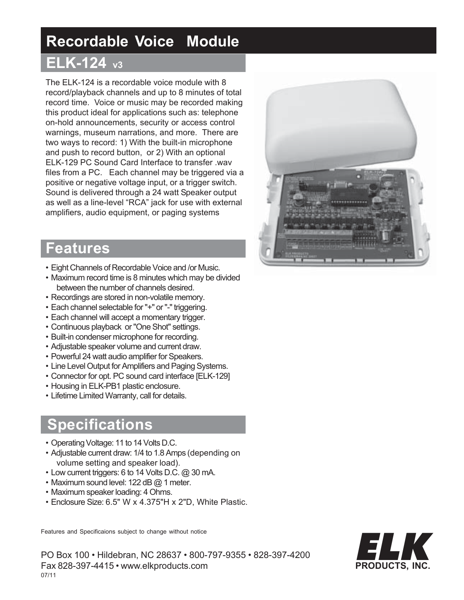# **Recordable Voice Module**

## **ELK-124 v3**

The ELK-124 is a recordable voice module with 8 record/playback channels and up to 8 minutes of total record time. Voice or music may be recorded making this product ideal for applications such as: telephone on-hold announcements, security or access control warnings, museum narrations, and more. There are two ways to record: 1) With the built-in microphone and push to record button, or 2) With an optional ELK-129 PC Sound Card Interface to transfer .wav files from a PC. Each channel may be triggered via a positive or negative voltage input, or a trigger switch. Sound is delivered through a 24 watt Speaker output as well as a line-level "RCA" jack for use with external amplifiers, audio equipment, or paging systems

### **Features**

- Eight Channels of Recordable Voice and /or Music.
- Maximum record time is 8 minutes which may be divided between the number of channels desired.
- Recordings are stored in non-volatile memory.
- Each channel selectable for "+" or "-" triggering.
- Each channel will accept a momentary trigger.
- Continuous playback or "One Shot" settings.
- Built-in condenser microphone for recording.
- Adjustable speaker volume and current draw.
- Powerful 24 watt audio amplifier for Speakers.
- Line Level Output for Amplifiers and Paging Systems.
- Connector for opt. PC sound card interface [ELK-129]
- Housing in ELK-PB1 plastic enclosure.
- Lifetime Limited Warranty, call for details.

### **Specifications**

- Operating Voltage: 11 to 14 Volts D.C.
- Adjustable current draw: 1/4 to 1.8 Amps (depending on volume setting and speaker load).
- Low current triggers: 6 to 14 Volts D.C. @ 30 mA.
- Maximum sound level: 122 dB @ 1 meter.
- Maximum speaker loading: 4 Ohms.
- Enclosure Size: 6.5" W x 4.375"H x 2"D, White Plastic.

Features and Specificaions subject to change without notice

PO Box 100 • Hildebran, NC 28637 • 800-797-9355 • 828-397-4200 Fax 828-397-4415 • www.elkproducts.com 07/11



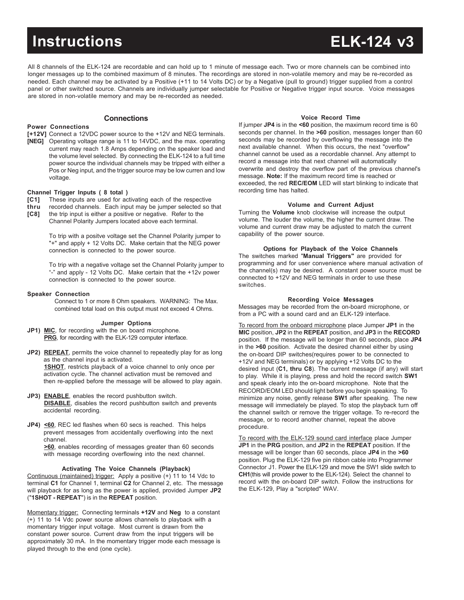# **Instructions ELK-124 v3**

All 8 channels of the ELK-124 are recordable and can hold up to 1 minute of message each. Two or more channels can be combined into longer messages up to the combined maximum of 8 minutes. The recordings are stored in non-volatile memory and may be re-recorded as needed. Each channel may be activated by a Positive (+11 to 14 Volts DC) or by a Negative (pull to ground) trigger supplied from a control panel or other switched source. Channels are individually jumper selectable for Positive or Negative trigger input source. Voice messages are stored in non-volatile memory and may be re-recorded as needed.

### **Connections**

#### **Power Connections**

- **[+12V]** Connect a 12VDC power source to the +12V and NEG terminals.
- **[NEG]** Operating voltage range is 11 to 14VDC, and the max. operating current may reach 1.8 Amps depending on the speaker load and the volume level selected. By connecting the ELK-124 to a full time power source the individual channels may be tripped with either a Pos or Neg input, and the trigger source may be low curren and low voltage.

#### **Channel Trigger Inputs ( 8 total )**

- **[C1]** These inputs are used for activating each of the respective
- **thru** recorded channels. Each input may be jumper selected so that
- **[C8]** the trip input is either a positive or negative. Refer to the Channel Polarity Jumpers located above each terminal.

To trip with a positve voltage set the Channel Polarity jumper to "+" and apply + 12 Volts DC. Make certain that the NEG power

connection is connected to the power source.

To trip with a negative voltage set the Channel Polarity jumper to "-" and apply - 12 Volts DC. Make certain that the +12v power connection is connected to the power source.

#### **Speaker Connection**

Connect to 1 or more 8 Ohm speakers. WARNING: The Max. combined total load on this output must not exceed 4 Ohms.

#### **Jumper Options**

- **JP1) MIC**, for recording with the on board microphone. **PRG**, for recording with the ELK-129 computer interface.
- **JP2) REPEAT**, permits the voice channel to repeatedly play for as long as the channel input is activated. **1SHOT**, restricts playback of a voice channel to only once per activation cycle. The channel activation must be removed and then re-applied before the message will be allowed to play again.
- **JP3) ENABLE**, enables the record pushbutton switch. **DISABLE**, disables the record pushbutton switch and prevents accidental recording.
- **JP4)** <60, REC led flashes when 60 secs is reached. This helps prevent messages from accidentally overflowing into the next channel.

**>60**, enables recording of messages greater than 60 seconds with message recording overflowing into the next channel.

#### **Activating The Voice Channels (Playback)**

Continuous (maintained) trigger: Apply a positive (+) 11 to 14 Vdc to terminal **C1** for Channel 1, terminal **C2** for Channel 2, etc. The message will playback for as long as the power is applied, provided Jumper **JP2** ("**1SHOT - REPEAT**") is in the **REPEAT** position.

Momentary trigger: Connecting terminals **+12V** and **Neg** to a constant (+) 11 to 14 Vdc power source allows channels to playback with a momentary trigger input voltage. Most current is drawn from the constant power source. Current draw from the input triggers will be approximately 30 mA. In the momentary trigger mode each message is played through to the end (one cycle).

#### **Voice Record Time**

If jumper **JP4** is in the **<60** position, the maximum record time is 60 seconds per channel. In the **>60** position, messages longer than 60 seconds may be recorded by overflowing the message into the next available channel. When this occurs, the next "overflow" channel cannot be used as a recordable channel. Any attempt to record a message into that next channel will automatically overwrite and destroy the overflow part of the previous channel's message. **Note:** If the maximum record time is reached or exceeded, the red **REC/EOM** LED will start blinking to indicate that recording time has halted.

#### **Volume and Current Adjust**

Turning the **Volume** knob clockwise will increase the output volume. The louder the volume, the higher the current draw. The volume and current draw may be adjusted to match the current capability of the power source.

#### **Options for Playback of the Voice Channels**

The switches marked "**Manual Triggers"** are provided for programming and for user convenience where manual activation of the channel(s) may be desired. A constant power source must be connected to +12V and NEG terminals in order to use these switches.

#### **Recording Voice Messages**

Messages may be recorded from the on-board microphone, or from a PC with a sound card and an ELK-129 interface.

To record from the onboard microphone place Jumper **JP1** in the **MIC** position, **JP2** in the **REPEAT** position, and **JP3** in the **RECORD** position. If the message will be longer than 60 seconds, place **JP4** in the **>60** position. Activate the desired channel either by using the on-board DIP switches(requires power to be connected to +12V and NEG terminals) or by applying +12 Volts DC to the desired input (**C1, thru C8**). The current message (if any) will start to play. While it is playing, press and hold the record switch **SW1** and speak clearly into the on-board microphone. Note that the RECORD/EOM LED should light before you begin speaking. To minimize any noise, gently release **SW1** after speaking. The new message will immediately be played. To stop the playback turn off the channel switch or remove the trigger voltage. To re-record the message, or to record another channel, repeat the above procedure.

To record with the ELK-129 sound card interface place Jumper **JP1** in the **PRG** position, and **JP2** in the **REPEAT** position. If the message will be longer than 60 seconds, place **JP4** in the **>60** position. Plug the ELK-129 five pin ribbon cable into Programmer Connector J1. Power the ELK-129 and move the SW1 slide switch to **CH1**(this will provide power to the ELK-124). Select the channel to record with the on-board DIP switch. Follow the instructions for the ELK-129, Play a "scripted" WAV.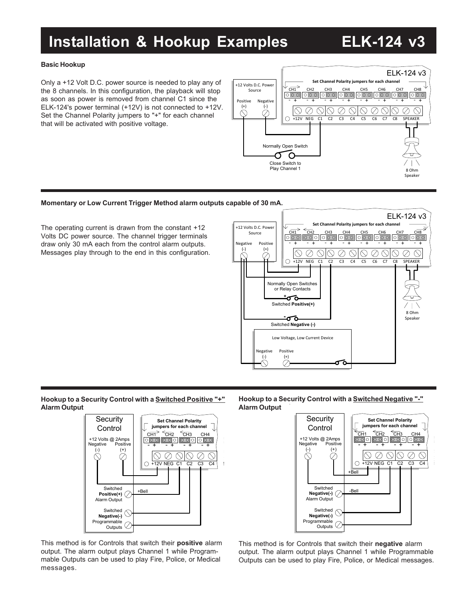## **Installation & Hookup Examples ELK-124 v3**

### **Basic Hookup**

Only a +12 Volt D.C. power source is needed to play any of the 8 channels. In this configuration, the playback will stop as soon as power is removed from channel C1 since the ELK-124's power terminal (+12V) is not connected to +12V. Set the Channel Polarity jumpers to "+" for each channel that will be activated with positive voltage.



### **Momentary or Low Current Trigger Method alarm outputs capable of 30 mA.**

The operating current is drawn from the constant +12 Volts DC power source. The channel trigger terminals draw only 30 mA each from the control alarm outputs. Messages play through to the end in this configuration.



#### **Hookup to a Security Control with a Switched Positive "+" Alarm Output**



This method is for Controls that switch their **positive** alarm output. The alarm output plays Channel 1 while Programmable Outputs can be used to play Fire, Police, or Medical messages.

**Hookup to a Security Control with a Switched Negative "-" Alarm Output**



**C5** 

This method is for Controls that switch their **negative** alarm output. The alarm output plays Channel 1 while Programmable Outputs can be used to play Fire, Police, or Medical messages.